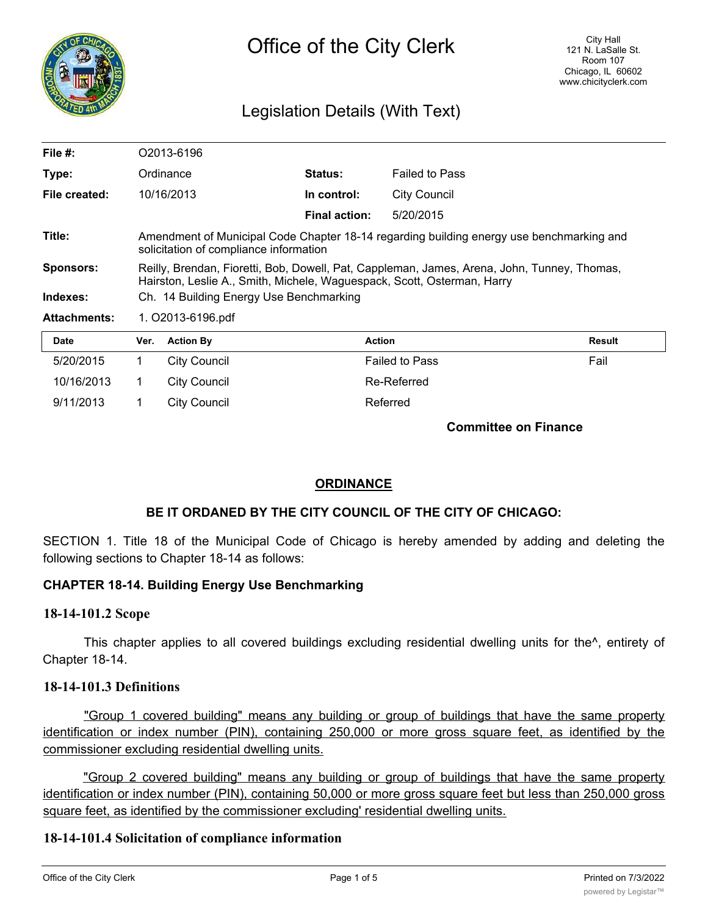

# Legislation Details (With Text)

| <b>Date</b>         | Ver.<br><b>Action By</b>                                                                                                                                               | <b>Action</b>  |                       | <b>Result</b> |  |
|---------------------|------------------------------------------------------------------------------------------------------------------------------------------------------------------------|----------------|-----------------------|---------------|--|
| <b>Attachments:</b> | 1. O2013-6196.pdf                                                                                                                                                      |                |                       |               |  |
| Indexes:            | Ch. 14 Building Energy Use Benchmarking                                                                                                                                |                |                       |               |  |
| <b>Sponsors:</b>    | Reilly, Brendan, Fioretti, Bob, Dowell, Pat, Cappleman, James, Arena, John, Tunney, Thomas,<br>Hairston, Leslie A., Smith, Michele, Waguespack, Scott, Osterman, Harry |                |                       |               |  |
| Title:              | Amendment of Municipal Code Chapter 18-14 regarding building energy use benchmarking and<br>solicitation of compliance information                                     |                |                       |               |  |
|                     |                                                                                                                                                                        | Final action:  | 5/20/2015             |               |  |
| File created:       | 10/16/2013                                                                                                                                                             | In control:    | <b>City Council</b>   |               |  |
| Type:               | Ordinance                                                                                                                                                              | <b>Status:</b> | <b>Failed to Pass</b> |               |  |
| File $#$ :          | O2013-6196                                                                                                                                                             |                |                       |               |  |

| Date       | Ver. | <b>Action By</b> | Action                | Result |
|------------|------|------------------|-----------------------|--------|
| 5/20/2015  |      | City Council     | <b>Failed to Pass</b> | Fail   |
| 10/16/2013 |      | City Council     | Re-Referred           |        |
| 9/11/2013  |      | City Council     | Referred              |        |

**Committee on Finance**

## **ORDINANCE**

### **BE IT ORDANED BY THE CITY COUNCIL OF THE CITY OF CHICAGO:**

SECTION 1. Title 18 of the Municipal Code of Chicago is hereby amended by adding and deleting the following sections to Chapter 18-14 as follows:

### **CHAPTER 18-14. Building Energy Use Benchmarking**

### **18-14-101.2 Scope**

This chapter applies to all covered buildings excluding residential dwelling units for the^, entirety of Chapter 18-14.

### **18-14-101.3 Definitions**

"Group 1 covered building" means any building or group of buildings that have the same property identification or index number (PIN), containing 250,000 or more gross square feet, as identified by the commissioner excluding residential dwelling units.

"Group 2 covered building" means any building or group of buildings that have the same property identification or index number (PIN), containing 50,000 or more gross square feet but less than 250,000 gross square feet, as identified by the commissioner excluding' residential dwelling units.

## **18-14-101.4 Solicitation of compliance information**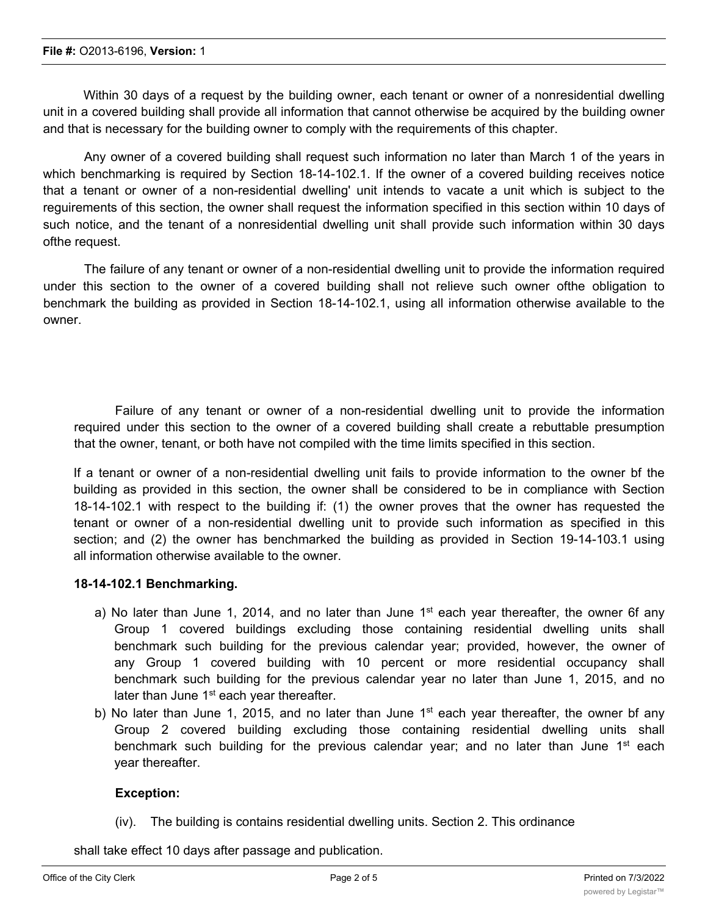Within 30 days of a request by the building owner, each tenant or owner of a nonresidential dwelling unit in a covered building shall provide all information that cannot otherwise be acquired by the building owner and that is necessary for the building owner to comply with the requirements of this chapter.

Any owner of a covered building shall request such information no later than March 1 of the years in which benchmarking is required by Section 18-14-102.1. If the owner of a covered building receives notice that a tenant or owner of a non-residential dwelling' unit intends to vacate a unit which is subject to the reguirements of this section, the owner shall request the information specified in this section within 10 days of such notice, and the tenant of a nonresidential dwelling unit shall provide such information within 30 days ofthe request.

The failure of any tenant or owner of a non-residential dwelling unit to provide the information required under this section to the owner of a covered building shall not relieve such owner ofthe obligation to benchmark the building as provided in Section 18-14-102.1, using all information otherwise available to the owner.

Failure of any tenant or owner of a non-residential dwelling unit to provide the information required under this section to the owner of a covered building shall create a rebuttable presumption that the owner, tenant, or both have not compiled with the time limits specified in this section.

If a tenant or owner of a non-residential dwelling unit fails to provide information to the owner bf the building as provided in this section, the owner shall be considered to be in compliance with Section 18-14-102.1 with respect to the building if: (1) the owner proves that the owner has requested the tenant or owner of a non-residential dwelling unit to provide such information as specified in this section; and (2) the owner has benchmarked the building as provided in Section 19-14-103.1 using all information otherwise available to the owner.

### **18-14-102.1 Benchmarking.**

- a) No later than June 1, 2014, and no later than June 1<sup>st</sup> each year thereafter, the owner 6f any Group 1 covered buildings excluding those containing residential dwelling units shall benchmark such building for the previous calendar year; provided, however, the owner of any Group 1 covered building with 10 percent or more residential occupancy shall benchmark such building for the previous calendar year no later than June 1, 2015, and no later than June 1<sup>st</sup> each year thereafter.
- b) No later than June 1, 2015, and no later than June 1<sup>st</sup> each year thereafter, the owner bf any Group 2 covered building excluding those containing residential dwelling units shall benchmark such building for the previous calendar year; and no later than June  $1<sup>st</sup>$  each year thereafter.

### **Exception:**

(iv). The building is contains residential dwelling units. Section 2. This ordinance

shall take effect 10 days after passage and publication.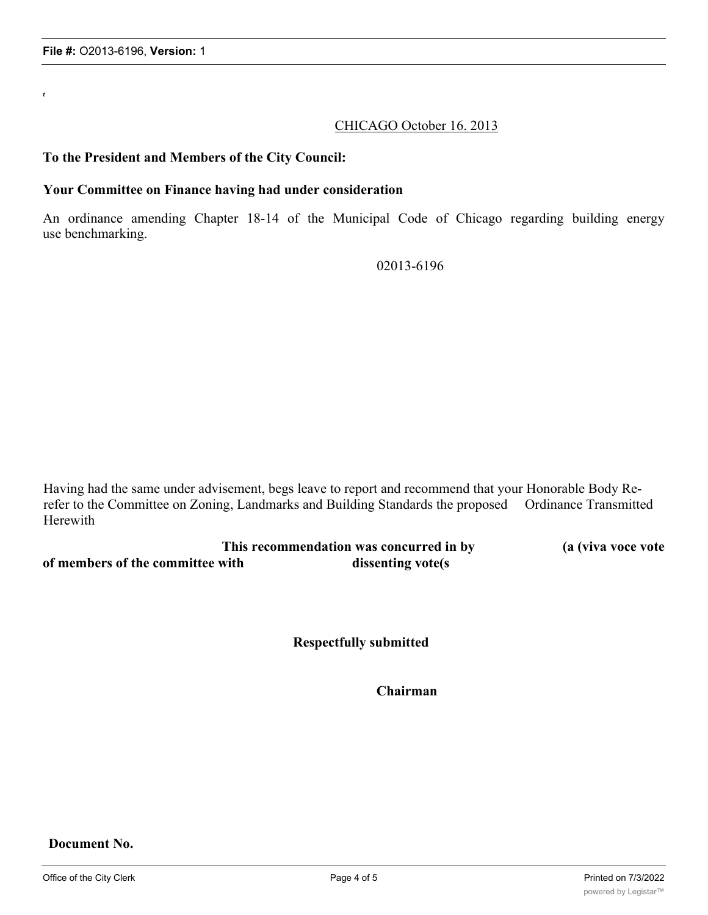*t*

CHICAGO October 16. 2013

#### **To the President and Members of the City Council:**

#### **Your Committee on Finance having had under consideration**

An ordinance amending Chapter 18-14 of the Municipal Code of Chicago regarding building energy use benchmarking.

02013-6196

Having had the same under advisement, begs leave to report and recommend that your Honorable Body Rerefer to the Committee on Zoning, Landmarks and Building Standards the proposed Ordinance Transmitted Herewith

| This recommendation was concurred in by | (a (viva voce vote) |  |
|-----------------------------------------|---------------------|--|
| of members of the committee with        | dissenting vote(s)  |  |

**Respectfully submitted**

**Chairman**

**Document No.**